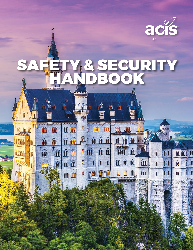

ni

# SAFETY & SECURITY HANDBOOK

sii<br>I

 $\mathbf{\hat{H}}$ 

 $\widehat{\mathbf{H}}$ 

fil

 $\mathbf{\hat{u}}$ 

hi

ð

fft

 $\widehat{\mathbf{u}}$ 

 $\mathbb{I}$ 

 $\mathbf{\Omega}$ 

 $<sub>1</sub>$ </sub>

 $\mathbf{\hat{m}}$ 

m

84

 $\hat{P}$ 

 $\mathbf{I}$ 

 $\mathbf{n}_1$ 

 $\mathbf{I}$ **M** 

1

 $\hat{\mathbf{n}}$ 

ð

 $\overline{\mathbf{2}}$ 

n m

a a

 $\mathbf{u}$ 

 $\mathbf{u}$ 

m

À

H H

 $\widehat{\mathbf{u}}$ 

 $\mathbf{\hat{H}}$ 

 $\mathbf{\hat{n}}$ 

 $\widehat{\mathbf{h}}$ 

m

血血

**iiiiii** 

J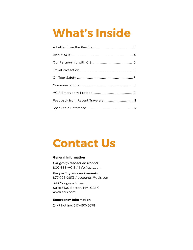# **What's Inside**

| Feedback from Recent Travelers 11 |
|-----------------------------------|
|                                   |
|                                   |

# **Contact Us**

#### **General Information**

*For group leaders or schools:*  800-888-ACIS / info@acis.com

*For participants and parents:*  877-795-0813 / accounts @acis.com

343 Congress Street, Suite 3100 Boston, MA 02210 www.acis.com

#### **Emergency Information**

24/7 hotline: 617-450-5678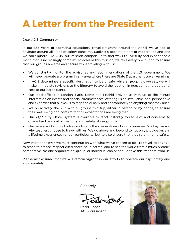### **A Letter from the President**

Dear ACIS Community:

In our 35+ years of operating educational travel programs around the world, we've had to navigate around all kinds of safety concerns. Sadly, it's become a part of modern life and one we can't ignore. At ACIS, our mission compels us to find ways to live fully and experience a world that is increasingly complex. To achieve this mission, we take every precaution to ensure that our groups are safe and secure while traveling with us:

- We constantly monitor the advisories and recommendations of the U.S. government. We will never operate a program in any area where there are State Department travel warnings.
- If ACIS determines a specific destination to be unsafe while a group is overseas, we will make immediate revisions to the itinerary to avoid the location in question at no additional cost to our participants.
- Our local offices in London, Paris, Rome and Madrid provide us with up to the minute information on events and special circumstances, offering us an invaluable local perspective and expertise that allows us to respond quickly and appropriately to anything that may arise.
- We proactively check in with all groups mid-trip, either in person or by phone, to ensure their well-being and confirm that all expectations are being met.
- Our 24/7 duty officer system is available to react instantly to requests and concerns to guarantee the comfort, security and safety of our groups.
- Our safety and support infrastructure is the cornerstone of our business—it's a key reason why teachers choose to travel with us. We go above and beyond to not only provide once in a lifetime experiences for our participants, but to also ensure that they return home safely.

Now, more than ever, we must continue on with what we've chosen to do—to travel, to engage, to teach tolerance, respect differences, shun hatred, and to see the world from a much broader perspective. No one organization, group, or individual can or should take this freedom from us.

Please rest assured that we will remain vigilant in our efforts to operate our trips safely and appropriately.

Sincerely,

Peter Jones ACIS President

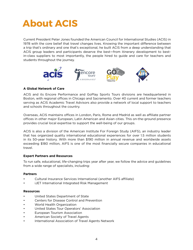### **About ACIS**

Current President Peter Jones founded the American Council for International Studies (ACIS) in 1978 with the core belief that travel changes lives. Knowing the important difference between a trip that's ordinary and one that's exceptional, he built ACIS from a deep understanding that ACIS group leaders and participants deserve the best—from itinerary development to bestin-class suppliers to most importantly, the people hired to guide and care for teachers and students throughout the journey.



#### **A Global Network of Care**

ACIS and its Encore Performance and GoPlay Sports Tours divisions are headquartered in Boston, with regional offices in Chicago and Sacramento. Over 40 current and former teachers serving as ACIS Academic Travel Advisors also provide a network of local support to teachers and schools throughout the country.

Overseas, ACIS maintains offices in London, Paris, Rome and Madrid as well as affiliate partner offices in other major European, Latin American and Asian cities. This on-the-ground presence provides crucial local expertise to support the well-being of our groups.

ACIS is also a division of the American Institute For Foreign Study (AIFS), an industry leader that has organized quality international educational experiences for over 1.5 million students in its 50-year history. With more than \$190 million in annual revenue and worldwide assets exceeding \$180 million, AIFS is one of the most financially secure companies in educational travel.

#### **Expert Partners and Resources**

To run safe, educational, life-changing trips year after year, we follow the advice and guidelines from a wide range of specialists, including:

#### **Partners**

- Cultural Insurance Services International (another AIFS affiliate)
- iJET International Integrated Risk Management

#### **Resources**

- United States Department of State
- Centers for Disease Control and Prevention
- World Health Organization
- United States Tour Operators' Association
- European Tourism Association
- American Society of Travel Agents
- International Association of Travel Agents Network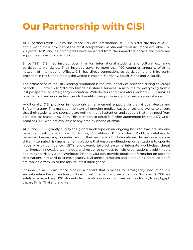### **Our Partnership with CISI**

ACIS partners with Cultural Insurance Services International (CISI), a sister division of AIFS, and a world class provider of the most comprehensive student travel insurance available. For 20 years, ACIS and its participants have benefited from the immediate access and preferred support services provided by CISI.

Since 1991, CISI has insured over 1 million international students and cultural exchange participants worldwide. Their insureds travel to more than 190 countries annually. With its network of international offices, CISI has direct connections to participants and third party providers in the United States, the United Kingdom, Germany, South Africa and Australia.

The hallmark of its industry leading reputation is the level of service provided during coverage periods. CISI offers 24/7/365 worldwide assistance services—a resource for everything from a lost passport to an emergency evacuation. With doctors and translators on staff, CISI's services provide toll-free, worldwide access to benefits, care providers, and emergency assistance.

Additionally, CISI provides in house crisis management support via their Global Health and Safety Manager. This manager monitors all ongoing medical cases, crises and events to ensure that their students and sponsors are getting the full attention and support that they need from care and assistance providers. This attention to detail is further augmented by the 24/7 Crisis Team at CISI—who are available at any time by phone or email.

ACIS and CISI vigilantly survey the global landscape on an ongoing basis to evaluate risk and remain at peak preparedness. To do this, CISI utilizes iJET and their Worldcue database to review and assess any potential risk for their insureds. iJET International delivers intelligencedriven, integrated risk management solutions that enable multinational organizations to operate globally with confidence. iJET's end-to-end, tailored systems integrate world-class threat intelligence, innovative technology, and response services to help organizations avoid threats and mitigate risk. Via the Worldcue Planner CISI can provide detailed information on specific destinations in regard to crime, security, civil unrest, terrorism and kidnapping. Detailed briefs are available with up to the minute latest intelligence.

Included in ACIS's insurance plans is a benefit that provides for emergency evacuation if a security related event such as political unrest or a natural disaster occurs. Since 2010, CISI has safely evacuated over 100 students from world crises in countries such as Nepal, Israel, Egypt, Japan, Syria, Thailand and Haiti.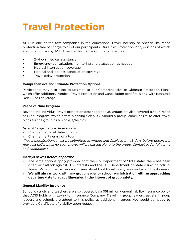### **Travel Protection**

ACIS is one of the few companies in the educational travel industry to provide insurance protection free of charge to all of our participants. Our Basic Protection Plan, portions of which are underwritten by ACE American Insurance Company, provides:

- 24-hour medical assistance
- Emergency consultation, monitoring and evacuation as needed
- Medical interruption coverage
- Medical and job loss cancellation coverage
- Travel delay protection

#### **Comprehensive and Ultimate Protection Options**

Participants may also elect to upgrade to our Comprehensive or Ultimate Protection Plans, which offer additional Medical, Travel Protection and Cancellation benefits, along with Baggage Delay/Loss coverage.

#### **Peace of Mind Program**

Beyond the individual travel protection described above, groups are also covered by our Peace of Mind Program, which offers planning flexibility. Should a group leader desire to alter travel plans for the group as a whole, s/he may:

#### *Up to 45 days before departure* —

- » Change the travel dates of a tour
- » Change the itinerary of a tour

*(Travel modifications must be submitted in writing and finalized by 45 days before departure. Any cost differential for such moves will be passed along to the group. Contact us for full terms and conditions.)*

#### *44 days or less before departure* —

- » The same options apply provided that the U.S. Department of State states there has been a terrorist attack against U.S. interests and the U.S. Department of State issues an official Travel Warning that American citizens should not travel to any area visited on the itinerary.
- » **We will always work with any group leader or school administration with an approaching departure date to adapt itineraries in the interest of group safety.**

#### **General Liability Insurance**

School districts and teachers are also covered by a \$51 million general liability insurance policy that ACIS holds with Lexington Insurance Company. Traveling group leaders, assistant group leaders and schools are added to this policy as additional insureds. We would be happy to provide a Certificate of Liability upon request.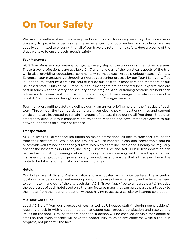### **On Tour Safety**

We take the welfare of each and every participant on our tours very seriously. Just as we work tirelessly to provide once-in-a-lifetime experiences to group leaders and students, we are equally committed to ensuring that all of our travelers return home safely. Here are some of the steps we take to ensure each group's safety.

#### **Tour Managers**

ACIS Tour Managers accompany our groups every step of the way during their time overseas. These travel professionals are available 24/7 and handle all of the logistical aspects of the trip, while also providing educational commentary to meet each group's unique tastes. All new European tour managers go through a rigorous screening process by our Tour Manager Office in London, followed by a training course led by our best tour managers and members of our US-based staff. Outside of Europe, our tour managers are contracted local experts that are best in touch with the safety and security of their region. Annual training sessions are held each off-season to review best practices and procedures, and tour managers can always access the latest ACIS information through our dedicated Tour Manager website.

Tour managers outline safety guidelines during an arrival briefing held on the first day of each tour. Throughout the tour, participants are given clear check-in locations/times and student participants are instructed to remain in groups of at least three during all free time. Should an emergency arise, our tour managers are trained to respond and have immediate access to our network of offices for further assistance.

#### **Transportation**

ACIS utilizes regularly scheduled flights on major international airlines to transport groups to/ from their destination. While on the ground, we use modern, clean and comfortable touring buses with well-trained and friendly drivers. When trains are included on an itinerary, we regularly opt for the best trains in Europe, including Eurostar, TGV and AVE. Public transportation can be used as part of sightseeing visits within a city. Before accessing public transit systems, tour managers brief groups on general safety procedures and ensure that all travelers know the route to be taken and the final stop for each journey.

#### **Hotels**

Our hotels are of 3- and 4-star quality and are located within city centers. These central locations provide a convenient meeting point in the case of an emergency and reduce the need to commute in and out of the city each day. ACIS' Travel App (free to all participants) includes the addresses of each hotel used on a trip and features maps that can guide participants back to their hotel from their current location without having to access a cellular or internet connection.

#### **Mid-Tour Check-Ins**

Local ACIS staff from our overseas offices, as well as US-based staff (including our president), regularly check in with groups in person to gauge each group's satisfaction and resolve any issues on the spot. Groups that are not seen in person will be checked on via either phone or email so that every teacher will have the opportunity to voice any concerns while a trip is in progress, not just after the fact.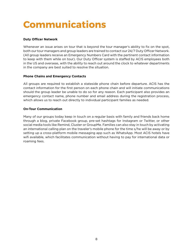## **Communications**

#### **Duty Officer Network**

Whenever an issue arises on tour that is beyond the tour manager's ability to fix on the spot, both our tour managers and group leaders are trained to contact our 24/7 Duty Officer Network. (All group leaders receive an Emergency Numbers Card with the pertinent contact information to keep with them while on tour). Our Duty Officer system is staffed by ACIS employees both in the US and overseas, with the ability to reach out around the clock to whatever departments in the company are best suited to resolve the situation.

#### **Phone Chains and Emergency Contacts**

All groups are required to establish a stateside phone chain before departure. ACIS has the contact information for the first person on each phone chain and will initiate communications should the group leader be unable to do so for any reason. Each participant also provides an emergency contact name, phone number and email address during the registration process, which allows us to reach out directly to individual participant families as needed.

#### **On-Tour Communication**

Many of our groups today keep in touch on a regular basis with family and friends back home through a blog, private Facebook group, pre-set hashtags for Instagram or Twitter, or other social media tools like Remind, Cluster or GroupMe. Families can also stay in touch by activating an international calling plan on the traveler's mobile phone for the time s/he will be away or by setting up a cross-platform mobile messaging app such as WhatsApp. Most ACIS hotels have wifi available, which facilitates communication without having to pay for international data or roaming fees.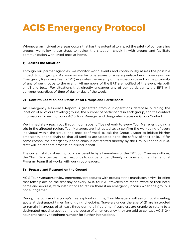### **ACIS Emergency Protocol**

Whenever an incident overseas occurs that has the potential to impact the safety of our traveling groups, we follow these steps to review the situation, check in with groups and facilitate communication with loved ones at home.

#### **1) Assess the Situation**

Through our partner agencies, we monitor world events and continuously assess the possible impact to our groups. As soon as we become aware of a safety-related event overseas, our Emergency Response Team (ERT) evaluates the severity of the situation based on the proximity of any of our groups to the event. All members of the ERT are notified of the event via both email and text. For situations that directly endanger any of our participants, the ERT will convene regardless of time of day or day of the week.

#### **2) Confirm Location and Status of All Groups and Participants**

An Emergency Response Report is generated from our operations database outlining the location of all of our traveling groups, the number of participants in each group, and the contact information for each group's ACIS Tour Manager and designated stateside Group Contact.

We immediately reach out through our global office network to every Tour Manager guiding a trip in the affected region. Tour Managers are instructed to: a) confirm the well-being of every individual within the group, and once confirmed, b) ask the Group Leader to initiate his/her emergency phone chain so that all families are updated as to the safety of their child. If for some reason, the emergency phone chain is not started directly by the Group Leader, our US staff will initiate that process on his/her behalf.

The current status of each group is accessible by all members of the ERT, our Overseas offices, the Client Services team that responds to our participant/family inquiries and the International Program team that works with our group leaders.

#### **3) Prepare and Respond on the Ground**

ACIS Tour Managers review emergency procedures with groups at the mandatory arrival briefing that takes place on the first day of every ACIS tour. All travelers are made aware of their hotel name and address, with instructions to return there if an emergency occurs when the group is not all together.

During the course of any day's free exploration time, Tour Managers will assign local meeting spots at designated times for ongoing check-ins. Travelers under the age of 21 are instructed to remain in groups of at least three during all free time. If travelers are unable to return to a designated meeting spot during the course of an emergency, they are told to contact ACIS' 24 hour emergency telephone number for further instructions.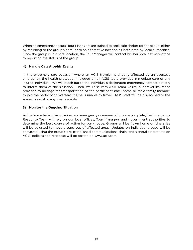When an emergency occurs, Tour Managers are trained to seek safe shelter for the group, either by returning to the group's hotel or to an alternative location as instructed by local authorities. Once the group is in a safe location, the Tour Manager will contact his/her local network office to report on the status of the group.

#### **4) Handle Catastrophic Events**

In the extremely rare occasion where an ACIS traveler is directly affected by an overseas emergency, the health protection included on all ACIS tours provides immediate care of any injured individual. We will reach out to the individual's designated emergency contact directly to inform them of the situation. Then, we liaise with AXA Team Assist, our travel insurance provider, to arrange for transportation of the participant back home or for a family member to join the participant overseas if s/he is unable to travel. ACIS staff will be dispatched to the scene to assist in any way possible.

#### **5) Monitor the Ongoing Situation**

As the immediate crisis subsides and emergency communications are complete, the Emergency Response Team will rely on our local offices, Tour Managers and government authorities to determine the best course of action for our groups. Groups will be flown home or itineraries will be adjusted to move groups out of affected areas. Updates on individual groups will be conveyed using the group's pre-established communications chain, and general statements on ACIS' policies and response will be posted on www.acis.com.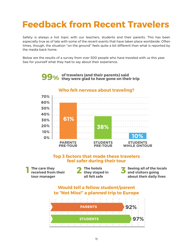### **Feedback from Recent Travelers**

Safety is always a hot topic with our teachers, students and their parents. This has been especially true as of late with some of the recent events that have taken place worldwide. Often times, though, the situation "on the ground" feels quite a bit different than what is reported by the media back home.

Below are the results of a survey from over 500 people who have traveled with us this year. See for yourself what they had to say about their experience.